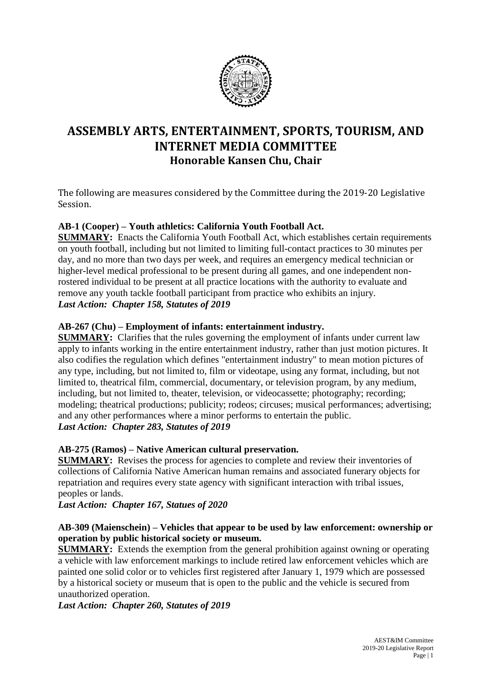

# **ASSEMBLY ARTS, ENTERTAINMENT, SPORTS, TOURISM, AND INTERNET MEDIA COMMITTEE Honorable Kansen Chu, Chair**

The following are measures considered by the Committee during the 2019-20 Legislative Session.

# **AB-1 (Cooper) – Youth athletics: California Youth Football Act.**

**SUMMARY:** Enacts the California Youth Football Act, which establishes certain requirements on youth football, including but not limited to limiting full-contact practices to 30 minutes per day, and no more than two days per week, and requires an emergency medical technician or higher-level medical professional to be present during all games, and one independent nonrostered individual to be present at all practice locations with the authority to evaluate and remove any youth tackle football participant from practice who exhibits an injury. *Last Action: Chapter 158, Statutes of 2019*

# **AB-267 (Chu) – Employment of infants: entertainment industry.**

**SUMMARY:** Clarifies that the rules governing the employment of infants under current law apply to infants working in the entire entertainment industry, rather than just motion pictures. It also codifies the regulation which defines "entertainment industry" to mean motion pictures of any type, including, but not limited to, film or videotape, using any format, including, but not limited to, theatrical film, commercial, documentary, or television program, by any medium, including, but not limited to, theater, television, or videocassette; photography; recording; modeling; theatrical productions; publicity; rodeos; circuses; musical performances; advertising; and any other performances where a minor performs to entertain the public. *Last Action: Chapter 283, Statutes of 2019*

# **AB-275 (Ramos) – Native American cultural preservation.**

**SUMMARY:** Revises the process for agencies to complete and review their inventories of collections of California Native American human remains and associated funerary objects for repatriation and requires every state agency with significant interaction with tribal issues, peoples or lands.

*Last Action: Chapter 167, Statues of 2020*

# **AB-309 (Maienschein) – Vehicles that appear to be used by law enforcement: ownership or operation by public historical society or museum.**

**SUMMARY:** Extends the exemption from the general prohibition against owning or operating a vehicle with law enforcement markings to include retired law enforcement vehicles which are painted one solid color or to vehicles first registered after January 1, 1979 which are possessed by a historical society or museum that is open to the public and the vehicle is secured from unauthorized operation.

*Last Action: Chapter 260, Statutes of 2019*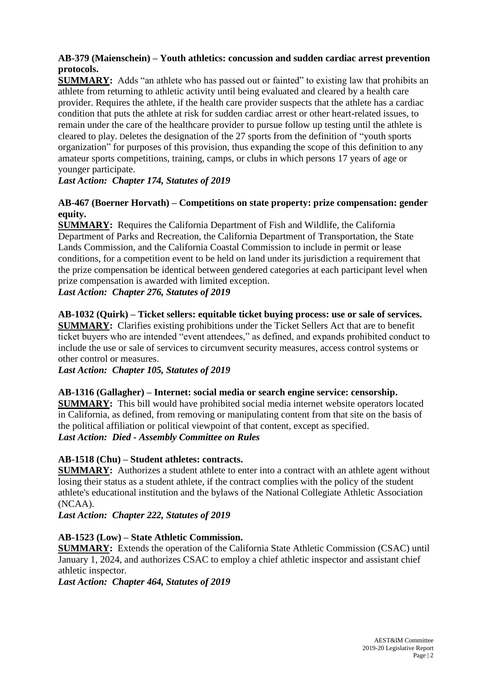# **AB-379 (Maienschein) – Youth athletics: concussion and sudden cardiac arrest prevention protocols.**

**SUMMARY:** Adds "an athlete who has passed out or fainted" to existing law that prohibits an athlete from returning to athletic activity until being evaluated and cleared by a health care provider. Requires the athlete, if the health care provider suspects that the athlete has a cardiac condition that puts the athlete at risk for sudden cardiac arrest or other heart-related issues, to remain under the care of the healthcare provider to pursue follow up testing until the athlete is cleared to play. Deletes the designation of the 27 sports from the definition of "youth sports organization" for purposes of this provision, thus expanding the scope of this definition to any amateur sports competitions, training, camps, or clubs in which persons 17 years of age or younger participate.

*Last Action: Chapter 174, Statutes of 2019*

# **AB-467 (Boerner Horvath) – Competitions on state property: prize compensation: gender equity.**

**SUMMARY:** Requires the California Department of Fish and Wildlife, the California Department of Parks and Recreation, the California Department of Transportation, the State Lands Commission, and the California Coastal Commission to include in permit or lease conditions, for a competition event to be held on land under its jurisdiction a requirement that the prize compensation be identical between gendered categories at each participant level when prize compensation is awarded with limited exception.

# *Last Action: Chapter 276, Statutes of 2019*

**AB-1032 (Quirk) – Ticket sellers: equitable ticket buying process: use or sale of services. SUMMARY:** Clarifies existing prohibitions under the Ticket Sellers Act that are to benefit ticket buyers who are intended "event attendees," as defined, and expands prohibited conduct to include the use or sale of services to circumvent security measures, access control systems or other control or measures.

*Last Action: Chapter 105, Statutes of 2019*

#### **AB-1316 (Gallagher) – Internet: social media or search engine service: censorship.**

**SUMMARY:** This bill would have prohibited social media internet website operators located in California, as defined, from removing or manipulating content from that site on the basis of the political affiliation or political viewpoint of that content, except as specified. *Last Action: Died - Assembly Committee on Rules*

# **AB-1518 (Chu) – Student athletes: contracts.**

**SUMMARY:** Authorizes a student athlete to enter into a contract with an athlete agent without losing their status as a student athlete, if the contract complies with the policy of the student athlete's educational institution and the bylaws of the National Collegiate Athletic Association (NCAA).

*Last Action: Chapter 222, Statutes of 2019*

# **AB-1523 (Low) – State Athletic Commission.**

**SUMMARY:** Extends the operation of the California State Athletic Commission (CSAC) until January 1, 2024, and authorizes CSAC to employ a chief athletic inspector and assistant chief athletic inspector.

*Last Action: Chapter 464, Statutes of 2019*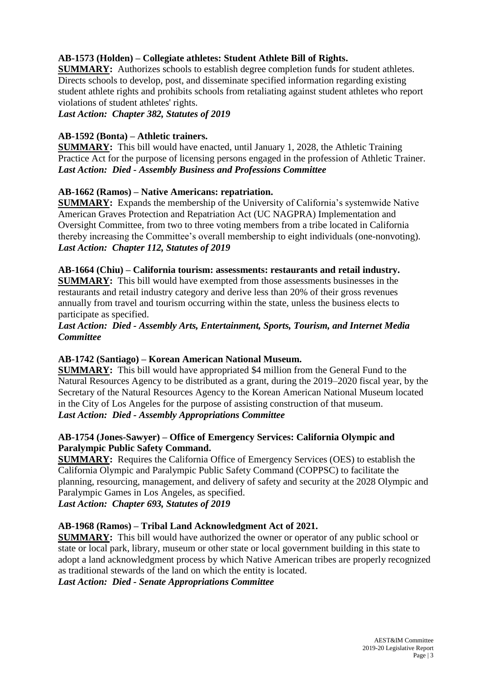# **AB-1573 (Holden) – Collegiate athletes: Student Athlete Bill of Rights.**

**SUMMARY:** Authorizes schools to establish degree completion funds for student athletes. Directs schools to develop, post, and disseminate specified information regarding existing student athlete rights and prohibits schools from retaliating against student athletes who report violations of student athletes' rights.

*Last Action: Chapter 382, Statutes of 2019*

#### **AB-1592 (Bonta) – Athletic trainers.**

**SUMMARY:** This bill would have enacted, until January 1, 2028, the Athletic Training Practice Act for the purpose of licensing persons engaged in the profession of Athletic Trainer. *Last Action: Died - Assembly Business and Professions Committee*

## **AB-1662 (Ramos) – Native Americans: repatriation.**

**SUMMARY:** Expands the membership of the University of California's systemwide Native American Graves Protection and Repatriation Act (UC NAGPRA) Implementation and Oversight Committee, from two to three voting members from a tribe located in California thereby increasing the Committee's overall membership to eight individuals (one-nonvoting). *Last Action: Chapter 112, Statutes of 2019*

#### **AB-1664 (Chiu) – California tourism: assessments: restaurants and retail industry. SUMMARY:** This bill would have exempted from those assessments businesses in the restaurants and retail industry category and derive less than 20% of their gross revenues annually from travel and tourism occurring within the state, unless the business elects to participate as specified.

## *Last Action: Died - Assembly Arts, Entertainment, Sports, Tourism, and Internet Media Committee*

# **AB-1742 (Santiago) – Korean American National Museum.**

**SUMMARY:** This bill would have appropriated \$4 million from the General Fund to the Natural Resources Agency to be distributed as a grant, during the 2019–2020 fiscal year, by the Secretary of the Natural Resources Agency to the Korean American National Museum located in the City of Los Angeles for the purpose of assisting construction of that museum. *Last Action: Died - Assembly Appropriations Committee*

# **AB-1754 (Jones-Sawyer) – Office of Emergency Services: California Olympic and Paralympic Public Safety Command.**

**SUMMARY:** Requires the California Office of Emergency Services (OES) to establish the California Olympic and Paralympic Public Safety Command (COPPSC) to facilitate the planning, resourcing, management, and delivery of safety and security at the 2028 Olympic and Paralympic Games in Los Angeles, as specified.

*Last Action: Chapter 693, Statutes of 2019*

# **AB-1968 (Ramos) – Tribal Land Acknowledgment Act of 2021.**

**SUMMARY:** This bill would have authorized the owner or operator of any public school or state or local park, library, museum or other state or local government building in this state to adopt a land acknowledgment process by which Native American tribes are properly recognized as traditional stewards of the land on which the entity is located.

*Last Action: Died - Senate Appropriations Committee*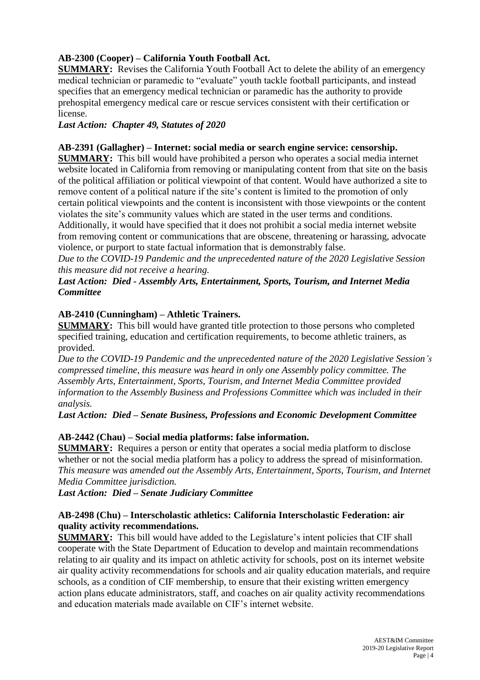# **AB-2300 (Cooper) – California Youth Football Act.**

**SUMMARY:** Revises the California Youth Football Act to delete the ability of an emergency medical technician or paramedic to "evaluate" youth tackle football participants, and instead specifies that an emergency medical technician or paramedic has the authority to provide prehospital emergency medical care or rescue services consistent with their certification or license.

## *Last Action: Chapter 49, Statutes of 2020*

## **AB-2391 (Gallagher) – Internet: social media or search engine service: censorship.**

**SUMMARY:** This bill would have prohibited a person who operates a social media internet website located in California from removing or manipulating content from that site on the basis of the political affiliation or political viewpoint of that content. Would have authorized a site to remove content of a political nature if the site's content is limited to the promotion of only certain political viewpoints and the content is inconsistent with those viewpoints or the content violates the site's community values which are stated in the user terms and conditions.

Additionally, it would have specified that it does not prohibit a social media internet website from removing content or communications that are obscene, threatening or harassing, advocate violence, or purport to state factual information that is demonstrably false.

*Due to the COVID-19 Pandemic and the unprecedented nature of the 2020 Legislative Session this measure did not receive a hearing.*

## *Last Action: Died - Assembly Arts, Entertainment, Sports, Tourism, and Internet Media Committee*

## **AB-2410 (Cunningham) – Athletic Trainers.**

**SUMMARY:** This bill would have granted title protection to those persons who completed specified training, education and certification requirements, to become athletic trainers, as provided.

*Due to the COVID-19 Pandemic and the unprecedented nature of the 2020 Legislative Session's compressed timeline, this measure was heard in only one Assembly policy committee. The Assembly Arts, Entertainment, Sports, Tourism, and Internet Media Committee provided information to the Assembly Business and Professions Committee which was included in their analysis.* 

*Last Action: Died – Senate Business, Professions and Economic Development Committee*

# **AB-2442 (Chau) – Social media platforms: false information.**

**SUMMARY:** Requires a person or entity that operates a social media platform to disclose whether or not the social media platform has a policy to address the spread of misinformation. *This measure was amended out the Assembly Arts, Entertainment, Sports, Tourism, and Internet Media Committee jurisdiction.*

*Last Action: Died – Senate Judiciary Committee*

## **AB-2498 (Chu) – Interscholastic athletics: California Interscholastic Federation: air quality activity recommendations.**

**SUMMARY:** This bill would have added to the Legislature's intent policies that CIF shall cooperate with the State Department of Education to develop and maintain recommendations relating to air quality and its impact on athletic activity for schools, post on its internet website air quality activity recommendations for schools and air quality education materials, and require schools, as a condition of CIF membership, to ensure that their existing written emergency action plans educate administrators, staff, and coaches on air quality activity recommendations and education materials made available on CIF's internet website.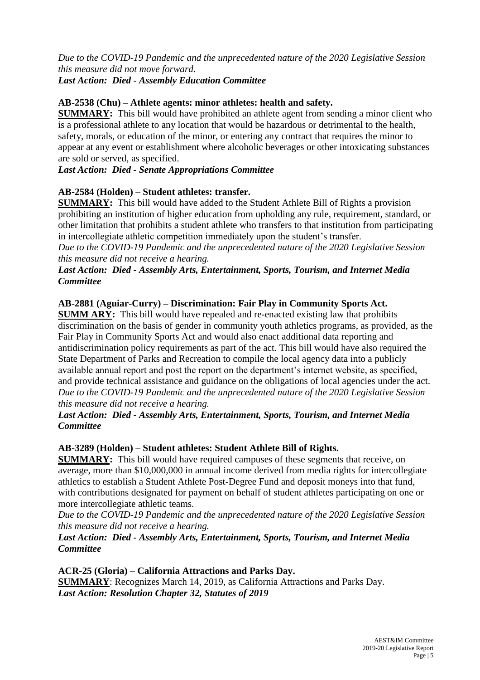*Due to the COVID-19 Pandemic and the unprecedented nature of the 2020 Legislative Session this measure did not move forward. Last Action: Died - Assembly Education Committee*

## **AB-2538 (Chu) – Athlete agents: minor athletes: health and safety.**

**SUMMARY:** This bill would have prohibited an athlete agent from sending a minor client who is a professional athlete to any location that would be hazardous or detrimental to the health, safety, morals, or education of the minor, or entering any contract that requires the minor to appear at any event or establishment where alcoholic beverages or other intoxicating substances are sold or served, as specified.

## *Last Action: Died - Senate Appropriations Committee*

## **AB-2584 (Holden) – Student athletes: transfer.**

**SUMMARY:** This bill would have added to the Student Athlete Bill of Rights a provision prohibiting an institution of higher education from upholding any rule, requirement, standard, or other limitation that prohibits a student athlete who transfers to that institution from participating in intercollegiate athletic competition immediately upon the student's transfer.

*Due to the COVID-19 Pandemic and the unprecedented nature of the 2020 Legislative Session this measure did not receive a hearing.*

## *Last Action: Died - Assembly Arts, Entertainment, Sports, Tourism, and Internet Media Committee*

## **AB-2881 (Aguiar-Curry) – Discrimination: Fair Play in Community Sports Act.**

**SUMM ARY:** This bill would have repealed and re-enacted existing law that prohibits discrimination on the basis of gender in community youth athletics programs, as provided, as the Fair Play in Community Sports Act and would also enact additional data reporting and antidiscrimination policy requirements as part of the act. This bill would have also required the State Department of Parks and Recreation to compile the local agency data into a publicly available annual report and post the report on the department's internet website, as specified, and provide technical assistance and guidance on the obligations of local agencies under the act. *Due to the COVID-19 Pandemic and the unprecedented nature of the 2020 Legislative Session this measure did not receive a hearing.*

## *Last Action: Died - Assembly Arts, Entertainment, Sports, Tourism, and Internet Media Committee*

## **AB-3289 (Holden) – Student athletes: Student Athlete Bill of Rights.**

**SUMMARY:** This bill would have required campuses of these segments that receive, on average, more than \$10,000,000 in annual income derived from media rights for intercollegiate athletics to establish a Student Athlete Post-Degree Fund and deposit moneys into that fund, with contributions designated for payment on behalf of student athletes participating on one or more intercollegiate athletic teams.

*Due to the COVID-19 Pandemic and the unprecedented nature of the 2020 Legislative Session this measure did not receive a hearing.*

## *Last Action: Died - Assembly Arts, Entertainment, Sports, Tourism, and Internet Media Committee*

**ACR-25 (Gloria) – California Attractions and Parks Day. SUMMARY**: Recognizes March 14, 2019, as California Attractions and Parks Day. *Last Action: Resolution Chapter 32, Statutes of 2019*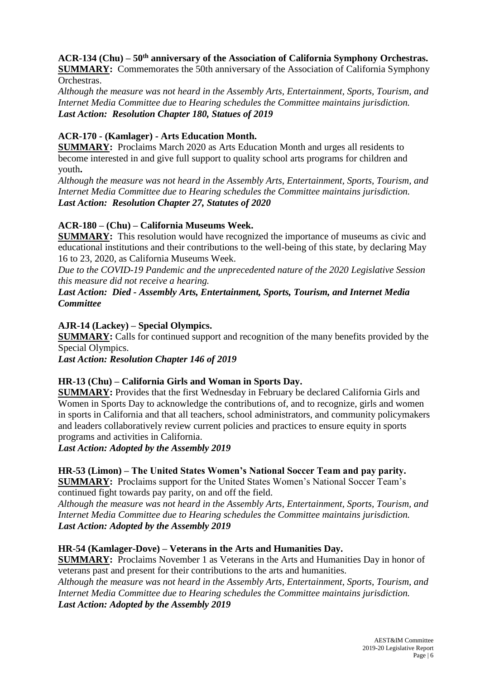# **ACR-134 (Chu) – 50th anniversary of the Association of California Symphony Orchestras.**

**SUMMARY:** Commemorates the 50th anniversary of the Association of California Symphony Orchestras.

*Although the measure was not heard in the Assembly Arts, Entertainment, Sports, Tourism, and Internet Media Committee due to Hearing schedules the Committee maintains jurisdiction. Last Action: Resolution Chapter 180, Statues of 2019*

## **ACR-170 - (Kamlager) - Arts Education Month.**

**SUMMARY:** Proclaims March 2020 as Arts Education Month and urges all residents to become interested in and give full support to quality school arts programs for children and youth**.**

*Although the measure was not heard in the Assembly Arts, Entertainment, Sports, Tourism, and Internet Media Committee due to Hearing schedules the Committee maintains jurisdiction. Last Action: Resolution Chapter 27, Statutes of 2020*

# **ACR-180 – (Chu) – California Museums Week.**

**SUMMARY:** This resolution would have recognized the importance of museums as civic and educational institutions and their contributions to the well-being of this state, by declaring May 16 to 23, 2020, as California Museums Week.

*Due to the COVID-19 Pandemic and the unprecedented nature of the 2020 Legislative Session this measure did not receive a hearing.*

## *Last Action: Died - Assembly Arts, Entertainment, Sports, Tourism, and Internet Media Committee*

#### **AJR-14 (Lackey) – Special Olympics.**

**SUMMARY:** Calls for continued support and recognition of the many benefits provided by the Special Olympics.

*Last Action: Resolution Chapter 146 of 2019*

#### **HR-13 (Chu) – California Girls and Woman in Sports Day.**

**SUMMARY:** Provides that the first Wednesday in February be declared California Girls and Women in Sports Day to acknowledge the contributions of, and to recognize, girls and women in sports in California and that all teachers, school administrators, and community policymakers and leaders collaboratively review current policies and practices to ensure equity in sports programs and activities in California.

*Last Action: Adopted by the Assembly 2019*

**HR-53 (Limon) – The United States Women's National Soccer Team and pay parity. SUMMARY:** Proclaims support for the United States Women's National Soccer Team's

continued fight towards pay parity, on and off the field.

*Although the measure was not heard in the Assembly Arts, Entertainment, Sports, Tourism, and Internet Media Committee due to Hearing schedules the Committee maintains jurisdiction. Last Action: Adopted by the Assembly 2019*

#### **HR-54 (Kamlager-Dove) – Veterans in the Arts and Humanities Day.**

**SUMMARY:** Proclaims November 1 as Veterans in the Arts and Humanities Day in honor of veterans past and present for their contributions to the arts and humanities.

*Although the measure was not heard in the Assembly Arts, Entertainment, Sports, Tourism, and Internet Media Committee due to Hearing schedules the Committee maintains jurisdiction. Last Action: Adopted by the Assembly 2019*